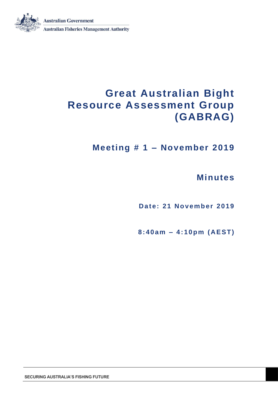

**Meeting # 1 – November 2019**

## **Minutes**

**Date: 21 November 2019** 

**8 : 40 am – 4 : 10p m ( AE ST )**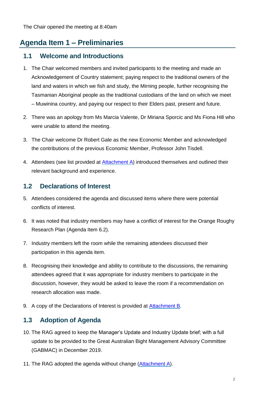## **Agenda Item 1 – Preliminaries**

### **1.1 Welcome and Introductions**

- 1. The Chair welcomed members and invited participants to the meeting and made an Acknowledgement of Country statement; paying respect to the traditional owners of the land and waters in which we fish and study, the Mirning people, further recognising the Tasmanian Aboriginal people as the traditional custodians of the land on which we meet – Muwinina country, and paying our respect to their Elders past, present and future.
- 2. There was an apology from Ms Marcia Valente, Dr Miriana Sporcic and Ms Fiona Hill who were unable to attend the meeting.
- 3. The Chair welcome Dr Robert Gale as the new Economic Member and acknowledged the contributions of the previous Economic Member, Professor John Tisdell.
- 4. Attendees (see list provided at [Attachment A\)](#page-19-0) introduced themselves and outlined their relevant background and experience.

## **1.2 Declarations of Interest**

- 5. Attendees considered the agenda and discussed items where there were potential conflicts of interest.
- 6. It was noted that industry members may have a conflict of interest for the Orange Roughy Research Plan (Agenda Item 6.2).
- 7. Industry members left the room while the remaining attendees discussed their participation in this agenda item.
- 8. Recognising their knowledge and ability to contribute to the discussions, the remaining attendees agreed that it was appropriate for industry members to participate in the discussion, however, they would be asked to leave the room if a recommendation on research allocation was made.
- 9. A copy of the Declarations of Interest is provided at [Attachment B.](#page-21-0)

## **1.3 Adoption of Agenda**

- 10. The RAG agreed to keep the Manager's Update and Industry Update brief; with a full update to be provided to the Great Australian Bight Management Advisory Committee (GABMAC) in December 2019.
- 11. The RAG adopted the agenda without change [\(Attachment A\)](#page-19-0).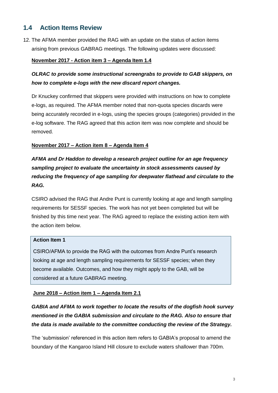## **1.4 Action Items Review**

12. The AFMA member provided the RAG with an update on the status of action items arising from previous GABRAG meetings. The following updates were discussed:

### **November 2017 - Action item 3 – Agenda Item 1.4**

## *OLRAC to provide some instructional screengrabs to provide to GAB skippers, on how to complete e-logs with the new discard report changes.*

Dr Knuckey confirmed that skippers were provided with instructions on how to complete e-logs, as required. The AFMA member noted that non-quota species discards were being accurately recorded in e-logs, using the species groups (categories) provided in the e-log software. The RAG agreed that this action item was now complete and should be removed.

### **November 2017 – Action item 8 – Agenda Item 4**

*AFMA and Dr Haddon to develop a research project outline for an age frequency sampling project to evaluate the uncertainty in stock assessments caused by reducing the frequency of age sampling for deepwater flathead and circulate to the RAG.*

CSIRO advised the RAG that Andre Punt is currently looking at age and length sampling requirements for SESSF species. The work has not yet been completed but will be finished by this time next year. The RAG agreed to replace the existing action item with the action item below.

#### **Action Item 1**

CSIRO/AFMA to provide the RAG with the outcomes from Andre Punt's research looking at age and length sampling requirements for SESSF species; when they become available. Outcomes, and how they might apply to the GAB, will be considered at a future GABRAG meeting.

#### **June 2018 – Action item 1 – Agenda Item 2.1**

*GABIA and AFMA to work together to locate the results of the dogfish hook survey mentioned in the GABIA submission and circulate to the RAG. Also to ensure that the data is made available to the committee conducting the review of the Strategy.*

The 'submission' referenced in this action item refers to GABIA's proposal to amend the boundary of the Kangaroo Island Hill closure to exclude waters shallower than 700m.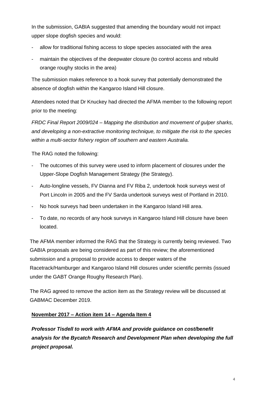In the submission, GABIA suggested that amending the boundary would not impact upper slope dogfish species and would:

- allow for traditional fishing access to slope species associated with the area
- maintain the objectives of the deepwater closure (to control access and rebuild orange roughy stocks in the area)

The submission makes reference to a hook survey that potentially demonstrated the absence of dogfish within the Kangaroo Island Hill closure.

Attendees noted that Dr Knuckey had directed the AFMA member to the following report prior to the meeting:

*FRDC Final Report 2009/024 – [Mapping the distribution and movement of gulper sharks,](https://www.frdc.com.au/Archived-Reports/FRDC%20Projects/2009-024-DLD.pdf)  [and developing a non-extractive monitoring technique, to mitigate the risk to the species](https://www.frdc.com.au/Archived-Reports/FRDC%20Projects/2009-024-DLD.pdf)  [within a multi-sector fishery region off southern and eastern Australia.](https://www.frdc.com.au/Archived-Reports/FRDC%20Projects/2009-024-DLD.pdf)*

The RAG noted the following:

- The outcomes of this survey were used to inform placement of closures under the Upper-Slope Dogfish Management Strategy (the Strategy).
- Auto-longline vessels, FV Dianna and FV Riba 2, undertook hook surveys west of Port Lincoln in 2005 and the FV Sarda undertook surveys west of Portland in 2010.
- No hook surveys had been undertaken in the Kangaroo Island Hill area.
- To date, no records of any hook surveys in Kangaroo Island Hill closure have been located.

The AFMA member informed the RAG that the Strategy is currently being reviewed. Two GABIA proposals are being considered as part of this review; the aforementioned submission and a proposal to provide access to deeper waters of the Racetrack/Hamburger and Kangaroo Island Hill closures under scientific permits (issued under the GABT Orange Roughy Research Plan).

The RAG agreed to remove the action item as the Strategy review will be discussed at GABMAC December 2019.

### **November 2017 – Action item 14 – Agenda Item 4**

*Professor Tisdell to work with AFMA and provide guidance on cost/benefit analysis for the Bycatch Research and Development Plan when developing the full project proposal.*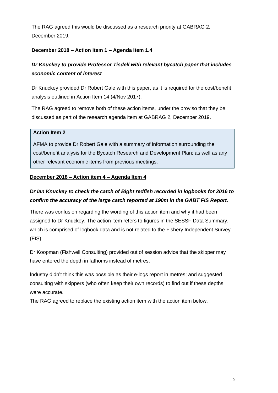The RAG agreed this would be discussed as a research priority at GABRAG 2, December 2019.

### **December 2018 – Action item 1 – Agenda Item 1.4**

## *Dr Knuckey to provide Professor Tisdell with relevant bycatch paper that includes economic content of interest*

Dr Knuckey provided Dr Robert Gale with this paper, as it is required for the cost/benefit analysis outlined in Action Item 14 (4/Nov 2017).

The RAG agreed to remove both of these action items, under the proviso that they be discussed as part of the research agenda item at GABRAG 2, December 2019.

### **Action Item 2**

AFMA to provide Dr Robert Gale with a summary of information surrounding the cost/benefit analysis for the Bycatch Research and Development Plan; as well as any other relevant economic items from previous meetings.

### **December 2018 – Action item 4 – Agenda Item 4**

## *Dr Ian Knuckey to check the catch of Bight redfish recorded in logbooks for 2016 to confirm the accuracy of the large catch reported at 190m in the GABT FIS Report.*

There was confusion regarding the wording of this action item and why it had been assigned to Dr Knuckey. The action item refers to figures in the SESSF Data Summary, which is comprised of logbook data and is not related to the Fishery Independent Survey (FIS).

Dr Koopman (Fishwell Consulting) provided out of session advice that the skipper may have entered the depth in fathoms instead of metres.

Industry didn't think this was possible as their e-logs report in metres; and suggested consulting with skippers (who often keep their own records) to find out if these depths were accurate.

The RAG agreed to replace the existing action item with the action item below.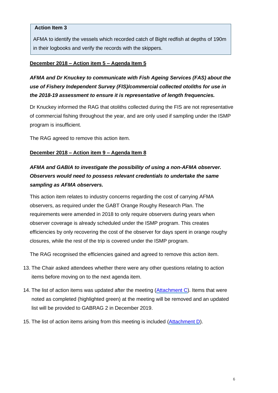### **Action Item 3**

AFMA to identify the vessels which recorded catch of Bight redfish at depths of 190m in their logbooks and verify the records with the skippers.

### **December 2018 – Action item 5 – Agenda Item 5**

*AFMA and Dr Knuckey to communicate with Fish Ageing Services (FAS) about the use of Fishery Independent Survey (FIS)/commercial collected otoliths for use in the 2018-19 assessment to ensure it is representative of length frequencies.*

Dr Knuckey informed the RAG that otoliths collected during the FIS are not representative of commercial fishing throughout the year, and are only used if sampling under the ISMP program is insufficient.

The RAG agreed to remove this action item.

### **December 2018 – Action item 9 – Agenda Item 8**

## *AFMA and GABIA to investigate the possibility of using a non-AFMA observer. Observers would need to possess relevant credentials to undertake the same sampling as AFMA observers.*

This action item relates to industry concerns regarding the cost of carrying AFMA observers, as required under the GABT Orange Roughy Research Plan. The requirements were amended in 2018 to only require observers during years when observer coverage is already scheduled under the ISMP program. This creates efficiencies by only recovering the cost of the observer for days spent in orange roughy closures, while the rest of the trip is covered under the ISMP program.

The RAG recognised the efficiencies gained and agreed to remove this action item.

- 13. The Chair asked attendees whether there were any other questions relating to action items before moving on to the next agenda item.
- 14. The list of action items was updated after the meeting [\(Attachment C\)](#page-23-0). Items that were noted as completed (highlighted green) at the meeting will be removed and an updated list will be provided to GABRAG 2 in December 2019.
- 15. The list of action items arising from this meeting is included [\(Attachment D\)](#page-29-0).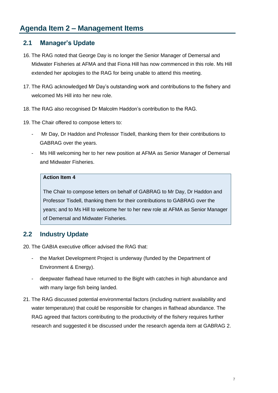## **2.1 Manager's Update**

- 16. The RAG noted that George Day is no longer the Senior Manager of Demersal and Midwater Fisheries at AFMA and that Fiona Hill has now commenced in this role. Ms Hill extended her apologies to the RAG for being unable to attend this meeting.
- 17. The RAG acknowledged Mr Day's outstanding work and contributions to the fishery and welcomed Ms Hill into her new role.
- 18. The RAG also recognised Dr Malcolm Haddon's contribution to the RAG.
- 19. The Chair offered to compose letters to:
	- Mr Day, Dr Haddon and Professor Tisdell, thanking them for their contributions to GABRAG over the years.
	- Ms Hill welcoming her to her new position at AFMA as Senior Manager of Demersal and Midwater Fisheries.

#### **Action Item 4**

The Chair to compose letters on behalf of GABRAG to Mr Day, Dr Haddon and Professor Tisdell, thanking them for their contributions to GABRAG over the years; and to Ms Hill to welcome her to her new role at AFMA as Senior Manager of Demersal and Midwater Fisheries.

## **2.2 Industry Update**

20. The GABIA executive officer advised the RAG that:

- the Market Development Project is underway (funded by the Department of Environment & Energy).
- deepwater flathead have returned to the Bight with catches in high abundance and with many large fish being landed.
- 21. The RAG discussed potential environmental factors (including nutrient availability and water temperature) that could be responsible for changes in flathead abundance. The RAG agreed that factors contributing to the productivity of the fishery requires further research and suggested it be discussed under the research agenda item at GABRAG 2.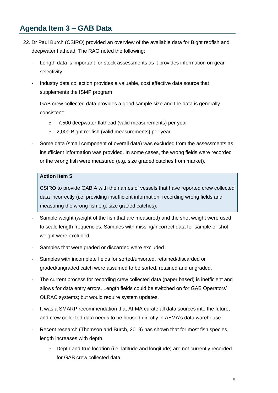## **Agenda Item 3 – GAB Data**

- 22. Dr Paul Burch (CSIRO) provided an overview of the available data for Bight redfish and deepwater flathead. The RAG noted the following:
	- Length data is important for stock assessments as it provides information on gear selectivity
	- Industry data collection provides a valuable, cost effective data source that supplements the ISMP program
	- GAB crew collected data provides a good sample size and the data is generally consistent:
		- o 7,500 deepwater flathead (valid measurements) per year
		- o 2,000 Bight redfish (valid measurements) per year.
	- Some data (small component of overall data) was excluded from the assessments as insufficient information was provided. In some cases, the wrong fields were recorded or the wrong fish were measured (e.g. size graded catches from market).

#### **Action Item 5**

CSIRO to provide GABIA with the names of vessels that have reported crew collected data incorrectly (i.e. providing insufficient information, recording wrong fields and measuring the wrong fish e.g. size graded catches).

- Sample weight (weight of the fish that are measured) and the shot weight were used to scale length frequencies. Samples with missing/incorrect data for sample or shot weight were excluded.
- Samples that were graded or discarded were excluded.
- Samples with incomplete fields for sorted/unsorted, retained/discarded or graded/ungraded catch were assumed to be sorted, retained and ungraded.
- The current process for recording crew collected data (paper based) is inefficient and allows for data entry errors. Length fields could be switched on for GAB Operators' OLRAC systems; but would require system updates.
- It was a SMARP recommendation that AFMA curate all data sources into the future, and crew collected data needs to be housed directly in AFMA's data warehouse.
- Recent research (Thomson and Burch, 2019) has shown that for most fish species, length increases with depth.
	- $\circ$  Depth and true location (i.e. latitude and longitude) are not currently recorded for GAB crew collected data.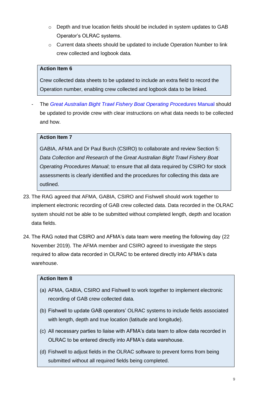- o Depth and true location fields should be included in system updates to GAB Operator's OLRAC systems.
- $\circ$  Current data sheets should be updated to include Operation Number to link crew collected and logbook data.

### **Action Item 6**

Crew collected data sheets to be updated to include an extra field to record the Operation number, enabling crew collected and logbook data to be linked.

- The *[Great Australian Bight Trawl Fishery Boat Operating Procedures](https://www.afma.gov.au/sites/default/files/uploads/2014/02/boat-operating-procedures-great-australian-bight-apri-2011.pdf?acsf_files_redirect)* Manual should be updated to provide crew with clear instructions on what data needs to be collected and how.

### **Action Item 7**

GABIA, AFMA and Dr Paul Burch (CSIRO) to collaborate and review Section 5: *Data Collection and Research* of the *[Great Australian Bight Trawl Fishery Boat](https://www.afma.gov.au/sites/default/files/uploads/2014/02/boat-operating-procedures-great-australian-bight-apri-2011.pdf?acsf_files_redirect)  [Operating Procedures Manual](https://www.afma.gov.au/sites/default/files/uploads/2014/02/boat-operating-procedures-great-australian-bight-apri-2011.pdf?acsf_files_redirect)*; to ensure that all data required by CSIRO for stock assessments is clearly identified and the procedures for collecting this data are outlined.

- 23. The RAG agreed that AFMA, GABIA, CSIRO and Fishwell should work together to implement electronic recording of GAB crew collected data. Data recorded in the OLRAC system should not be able to be submitted without completed length, depth and location data fields.
- 24. The RAG noted that CSIRO and AFMA's data team were meeting the following day (22 November 2019). The AFMA member and CSIRO agreed to investigate the steps required to allow data recorded in OLRAC to be entered directly into AFMA's data warehouse.

### **Action Item 8**

- (a) AFMA, GABIA, CSIRO and Fishwell to work together to implement electronic recording of GAB crew collected data.
- (b) Fishwell to update GAB operators' OLRAC systems to include fields associated with length, depth and true location (latitude and longitude).
- (c) All necessary parties to liaise with AFMA's data team to allow data recorded in OLRAC to be entered directly into AFMA's data warehouse.
- (d) Fishwell to adjust fields in the OLRAC software to prevent forms from being submitted without all required fields being completed.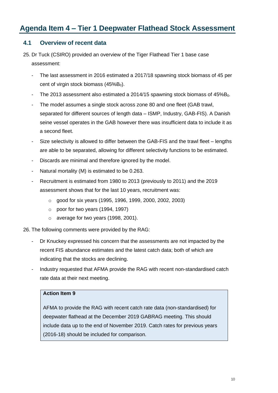## **Agenda Item 4 – Tier 1 Deepwater Flathead Stock Assessment**

### **4.1 Overview of recent data**

- 25. Dr Tuck (CSIRO) provided an overview of the Tiger Flathead Tier 1 base case assessment:
	- The last assessment in 2016 estimated a 2017/18 spawning stock biomass of 45 per cent of virgin stock biomass  $(45\%B<sub>0</sub>)$ .
	- The 2013 assessment also estimated a 2014/15 spawning stock biomass of  $45\%B_0$ .
	- The model assumes a single stock across zone 80 and one fleet (GAB trawl, separated for different sources of length data – ISMP, Industry, GAB-FIS). A Danish seine vessel operates in the GAB however there was insufficient data to include it as a second fleet.
	- Size selectivity is allowed to differ between the GAB-FIS and the trawl fleet lengths are able to be separated, allowing for different selectivity functions to be estimated.
	- Discards are minimal and therefore ignored by the model.
	- Natural mortality (M) is estimated to be 0.263.
	- Recruitment is estimated from 1980 to 2013 (previously to 2011) and the 2019 assessment shows that for the last 10 years, recruitment was:
		- o good for six years (1995, 1996, 1999, 2000, 2002, 2003)
		- o poor for two years (1994, 1997)
		- o average for two years (1998, 2001).

26. The following comments were provided by the RAG:

- Dr Knuckey expressed his concern that the assessments are not impacted by the recent FIS abundance estimates and the latest catch data; both of which are indicating that the stocks are declining.
- Industry requested that AFMA provide the RAG with recent non-standardised catch rate data at their next meeting.

#### **Action Item 9**

AFMA to provide the RAG with recent catch rate data (non-standardised) for deepwater flathead at the December 2019 GABRAG meeting. This should include data up to the end of November 2019. Catch rates for previous years (2016-18) should be included for comparison.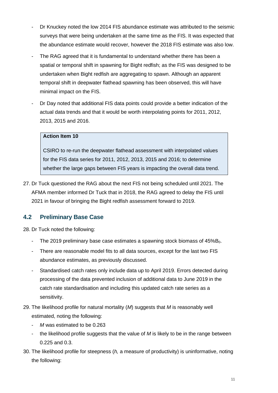- Dr Knuckey noted the low 2014 FIS abundance estimate was attributed to the seismic surveys that were being undertaken at the same time as the FIS. It was expected that the abundance estimate would recover, however the 2018 FIS estimate was also low.
- The RAG agreed that it is fundamental to understand whether there has been a spatial or temporal shift in spawning for Bight redfish; as the FIS was designed to be undertaken when Bight redfish are aggregating to spawn. Although an apparent temporal shift in deepwater flathead spawning has been observed, this will have minimal impact on the FIS.
- Dr Day noted that additional FIS data points could provide a better indication of the actual data trends and that it would be worth interpolating points for 2011, 2012, 2013, 2015 and 2016.

### **Action Item 10**

CSIRO to re-run the deepwater flathead assessment with interpolated values for the FIS data series for 2011, 2012, 2013, 2015 and 2016; to determine whether the large gaps between FIS years is impacting the overall data trend.

27. Dr Tuck questioned the RAG about the next FIS not being scheduled until 2021. The AFMA member informed Dr Tuck that in 2018, the RAG agreed to delay the FIS until 2021 in favour of bringing the Bight redfish assessment forward to 2019.

### **4.2 Preliminary Base Case**

28. Dr Tuck noted the following:

- The 2019 preliminary base case estimates a spawning stock biomass of 45%B<sub>0</sub>.
- There are reasonable model fits to all data sources, except for the last two FIS abundance estimates, as previously discussed.
- Standardised catch rates only include data up to April 2019. Errors detected during processing of the data prevented inclusion of additional data to June 2019 in the catch rate standardisation and including this updated catch rate series as a sensitivity.
- 29. The likelihood profile for natural mortality (*M*) suggests that *M* is reasonably well estimated, noting the following:
	- *M* was estimated to be 0.263
	- the likelihood profile suggests that the value of *M* is likely to be in the range between 0.225 and 0.3.
- 30. The likelihood profile for steepness (*h,* a measure of productivity) is uninformative, noting the following: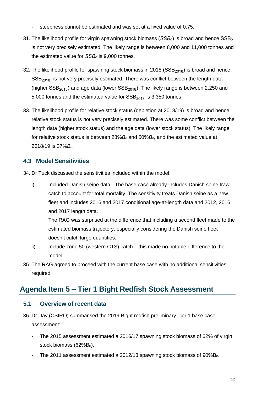- steepness cannot be estimated and was set at a fixed value of 0.75.
- 31. The likelihood profile for virgin spawning stock biomass (*SSBₒ*) is broad and hence SSBₒ is not very precisely estimated. The likely range is between 8,000 and 11,000 tonnes and the estimated value for *SSBₒ* is 9,000 tonnes.
- 32. The likelihood profile for spawning stock biomass in 2018 ( $SSB<sub>2018</sub>$ ) is broad and hence  $SSB<sub>2018</sub>$  is not very precisely estimated. There was conflict between the length data (higher  $SSB_{2018}$ ) and age data (lower  $SSB_{2018}$ ). The likely range is between 2,250 and 5,000 tonnes and the estimated value for  $SSB<sub>2018</sub>$  is 3,350 tonnes.
- 33. The likelihood profile for relative stock status (depletion at 2018/19) is broad and hence relative stock status is not very precisely estimated. There was some conflict between the length data (higher stock status) and the age data (lower stock status). The likely range for relative stock status is between 28%*B<sup>0</sup>* and 50%*B0*, and the estimated value at 2018/19 is 37%*B0*.

### **4.3 Model Sensitivities**

34. Dr Tuck discussed the sensitivities included within the model:

i) Included Danish seine data - The base case already includes Danish seine trawl catch to account for total mortality. The sensitivity treats Danish seine as a new fleet and includes 2016 and 2017 conditional age-at-length data and 2012, 2016 and 2017 length data.

The RAG was surprised at the difference that including a second fleet made to the estimated biomass trajectory, especially considering the Danish seine fleet doesn't catch large quantities.

- ii) Include zone 50 (western CTS) catch this made no notable difference to the model.
- 35. The RAG agreed to proceed with the current base case with no additional sensitivities required.

## **Agenda Item 5 – Tier 1 Bight Redfish Stock Assessment**

### **5.1 Overview of recent data**

- 36. Dr Day (CSIRO) summarised the 2019 Bight redfish preliminary Tier 1 base case assessment:
	- The 2015 assessment estimated a 2016/17 spawning stock biomass of 62% of virgin stock biomass  $(62%B<sub>0</sub>)$ .
	- The 2011 assessment estimated a 2012/13 spawning stock biomass of 90%B<sub>0</sub>.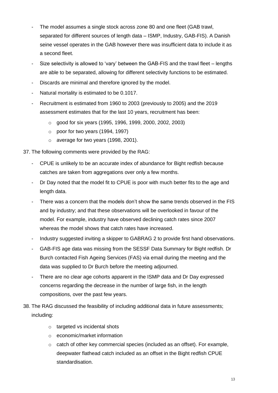- The model assumes a single stock across zone 80 and one fleet (GAB trawl, separated for different sources of length data – ISMP, Industry, GAB-FIS). A Danish seine vessel operates in the GAB however there was insufficient data to include it as a second fleet.
- Size selectivity is allowed to 'vary' between the GAB-FIS and the trawl fleet lengths are able to be separated, allowing for different selectivity functions to be estimated.
- Discards are minimal and therefore ignored by the model.
- Natural mortality is estimated to be 0.1017.
- Recruitment is estimated from 1960 to 2003 (previously to 2005) and the 2019 assessment estimates that for the last 10 years, recruitment has been:
	- o good for six years (1995, 1996, 1999, 2000, 2002, 2003)
	- $\circ$  poor for two years (1994, 1997)
	- o average for two years (1998, 2001).
- 37. The following comments were provided by the RAG:
	- CPUE is unlikely to be an accurate index of abundance for Bight redfish because catches are taken from aggregations over only a few months.
	- Dr Day noted that the model fit to CPUE is poor with much better fits to the age and length data.
	- There was a concern that the models don't show the same trends observed in the FIS and by industry; and that these observations will be overlooked in favour of the model. For example, industry have observed declining catch rates since 2007 whereas the model shows that catch rates have increased.
	- Industry suggested inviting a skipper to GABRAG 2 to provide first hand observations.
	- GAB-FIS age data was missing from the SESSF Data Summary for Bight redfish. Dr Burch contacted Fish Ageing Services (FAS) via email during the meeting and the data was supplied to Dr Burch before the meeting adjourned.
	- There are no clear age cohorts apparent in the ISMP data and Dr Day expressed concerns regarding the decrease in the number of large fish, in the length compositions, over the past few years.
- 38. The RAG discussed the feasibility of including additional data in future assessments; including:
	- o targeted vs incidental shots
	- o economic/market information
	- o catch of other key commercial species (included as an offset). For example, deepwater flathead catch included as an offset in the Bight redfish CPUE standardisation.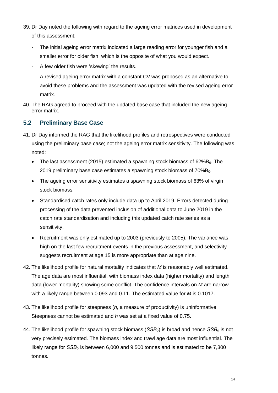- 39. Dr Day noted the following with regard to the ageing error matrices used in development of this assessment:
	- The initial ageing error matrix indicated a large reading error for younger fish and a smaller error for older fish, which is the opposite of what you would expect.
	- A few older fish were 'skewing' the results.
	- A revised ageing error matrix with a constant CV was proposed as an alternative to avoid these problems and the assessment was updated with the revised ageing error matrix.
- 40. The RAG agreed to proceed with the updated base case that included the new ageing error matrix.

### **5.2 Preliminary Base Case**

- 41. Dr Day informed the RAG that the likelihood profiles and retrospectives were conducted using the preliminary base case; not the ageing error matrix sensitivity. The following was noted:
	- The last assessment (2015) estimated a spawning stock biomass of  $62\%B_0$ . The 2019 preliminary base case estimates a spawning stock biomass of 70%B<sub>0</sub>.
	- The ageing error sensitivity estimates a spawning stock biomass of 63% of virgin stock biomass.
	- Standardised catch rates only include data up to April 2019. Errors detected during processing of the data prevented inclusion of additional data to June 2019 in the catch rate standardisation and including this updated catch rate series as a sensitivity.
	- Recruitment was only estimated up to 2003 (previously to 2005). The variance was high on the last few recruitment events in the previous assessment, and selectivity suggests recruitment at age 15 is more appropriate than at age nine.
- 42. The likelihood profile for natural mortality indicates that *M* is reasonably well estimated. The age data are most influential, with biomass index data (higher mortality) and length data (lower mortality) showing some conflict. The confidence intervals on *M* are narrow with a likely range between 0.093 and 0.11. The estimated value for *M* is 0.1017.
- 43. The likelihood profile for steepness (*h*, a measure of productivity) is uninformative. Steepness cannot be estimated and *h* was set at a fixed value of 0.75.
- 44. The likelihood profile for spawning stock biomass (*SSBₒ*) is broad and hence *SSBₒ* is not very precisely estimated. The biomass index and trawl age data are most influential. The likely range for *SSB*<sub>o</sub> is between 6,000 and 9,500 tonnes and is estimated to be 7,300 tonnes.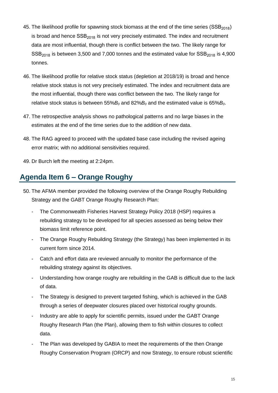- 45. The likelihood profile for spawning stock biomass at the end of the time series ( $SSB<sub>2018</sub>$ ) is broad and hence  $SSB<sub>2018</sub>$  is not very precisely estimated. The index and recruitment data are most influential, though there is conflict between the two. The likely range for  $SSB<sub>2018</sub>$  is between 3,500 and 7,000 tonnes and the estimated value for  $SSB<sub>2018</sub>$  is 4,900 tonnes.
- 46. The likelihood profile for relative stock status (depletion at 2018/19) is broad and hence relative stock status is not very precisely estimated. The index and recruitment data are the most influential, though there was conflict between the two. The likely range for relative stock status is between 55%*B<sup>0</sup>* and 82%*B<sup>0</sup>* and the estimated value is 65%*B0*.
- 47. The retrospective analysis shows no pathological patterns and no large biases in the estimates at the end of the time series due to the addition of new data.
- 48. The RAG agreed to proceed with the updated base case including the revised ageing error matrix; with no additional sensitivities required.
- 49. Dr Burch left the meeting at 2:24pm.

## **Agenda Item 6 – Orange Roughy**

- 50. The AFMA member provided the following overview of the Orange Roughy Rebuilding Strategy and the GABT Orange Roughy Research Plan:
	- The Commonwealth Fisheries Harvest Strategy Policy 2018 (HSP) requires a rebuilding strategy to be developed for all species assessed as being below their biomass limit reference point.
	- The Orange Roughy Rebuilding Strategy (the Strategy) has been implemented in its current form since 2014.
	- Catch and effort data are reviewed annually to monitor the performance of the rebuilding strategy against its objectives.
	- Understanding how orange roughy are rebuilding in the GAB is difficult due to the lack of data.
	- The Strategy is designed to prevent targeted fishing, which is achieved in the GAB through a series of deepwater closures placed over historical roughy grounds.
	- Industry are able to apply for scientific permits, issued under the GABT Orange Roughy Research Plan (the Plan), allowing them to fish within closures to collect data.
	- The Plan was developed by GABIA to meet the requirements of the then Orange Roughy Conservation Program (ORCP) and now Strategy, to ensure robust scientific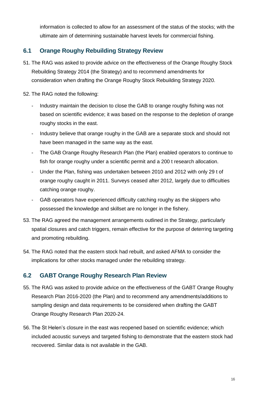information is collected to allow for an assessment of the status of the stocks; with the ultimate aim of determining sustainable harvest levels for commercial fishing.

## **6.1 Orange Roughy Rebuilding Strategy Review**

- 51. The RAG was asked to provide advice on the effectiveness of the Orange Roughy Stock Rebuilding Strategy 2014 (the Strategy) and to recommend amendments for consideration when drafting the Orange Roughy Stock Rebuilding Strategy 2020.
- 52. The RAG noted the following:
	- Industry maintain the decision to close the GAB to orange roughy fishing was not based on scientific evidence; it was based on the response to the depletion of orange roughy stocks in the east.
	- Industry believe that orange roughy in the GAB are a separate stock and should not have been managed in the same way as the east.
	- The GAB Orange Roughy Research Plan (the Plan) enabled operators to continue to fish for orange roughy under a scientific permit and a 200 t research allocation.
	- Under the Plan, fishing was undertaken between 2010 and 2012 with only 29 t of orange roughy caught in 2011. Surveys ceased after 2012, largely due to difficulties catching orange roughy.
	- GAB operators have experienced difficulty catching roughy as the skippers who possessed the knowledge and skillset are no longer in the fishery.
- 53. The RAG agreed the management arrangements outlined in the Strategy, particularly spatial closures and catch triggers, remain effective for the purpose of deterring targeting and promoting rebuilding.
- 54. The RAG noted that the eastern stock had rebuilt, and asked AFMA to consider the implications for other stocks managed under the rebuilding strategy.

## **6.2 GABT Orange Roughy Research Plan Review**

- 55. The RAG was asked to provide advice on the effectiveness of the GABT Orange Roughy Research Plan 2016-2020 (the Plan) and to recommend any amendments/additions to sampling design and data requirements to be considered when drafting the GABT Orange Roughy Research Plan 2020-24.
- 56. The St Helen's closure in the east was reopened based on scientific evidence; which included acoustic surveys and targeted fishing to demonstrate that the eastern stock had recovered. Similar data is not available in the GAB.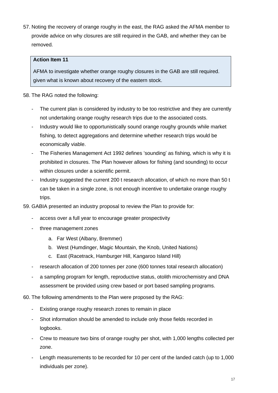57. Noting the recovery of orange roughy in the east, the RAG asked the AFMA member to provide advice on why closures are still required in the GAB, and whether they can be removed.

### **Action Item 11**

AFMA to investigate whether orange roughy closures in the GAB are still required. given what is known about recovery of the eastern stock.

### 58. The RAG noted the following:

- The current plan is considered by industry to be too restrictive and they are currently not undertaking orange roughy research trips due to the associated costs.
- Industry would like to opportunistically sound orange roughy grounds while market fishing, to detect aggregations and determine whether research trips would be economically viable.
- The Fisheries Management Act 1992 defines 'sounding' as fishing, which is why it is prohibited in closures. The Plan however allows for fishing (and sounding) to occur within closures under a scientific permit.
- Industry suggested the current 200 t research allocation, of which no more than 50 t can be taken in a single zone, is not enough incentive to undertake orange roughy trips.
- 59. GABIA presented an industry proposal to review the Plan to provide for:
	- access over a full year to encourage greater prospectivity
	- three management zones
		- a. Far West (Albany, Bremmer)
		- b. West (Humdinger, Magic Mountain, the Knob, United Nations)
		- c. East (Racetrack, Hamburger Hill, Kangaroo Island Hill)
	- research allocation of 200 tonnes per zone (600 tonnes total research allocation)
	- a sampling program for length, reproductive status, otolith microchemistry and DNA assessment be provided using crew based or port based sampling programs.
- 60. The following amendments to the Plan were proposed by the RAG:
	- Existing orange roughy research zones to remain in place
	- Shot information should be amended to include only those fields recorded in logbooks.
	- Crew to measure two bins of orange roughy per shot, with 1,000 lengths collected per zone.
	- Length measurements to be recorded for 10 per cent of the landed catch (up to 1,000) individuals per zone).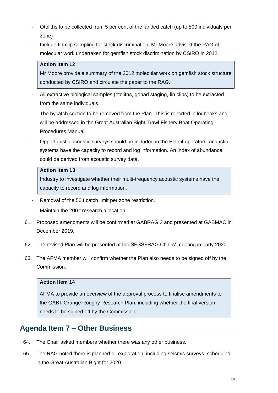- Otoliths to be collected from 5 per cent of the landed catch (up to 500 individuals per zone)
- Include fin-clip sampling for stock discrimination. Mr Moore advised the RAG of molecular work undertaken for gemfish stock discrimination by CSIRO in 2012.

### **Action Item 12**

Mr Moore provide a summary of the 2012 molecular work on gemfish stock structure conducted by CSIRO and circulate the paper to the RAG.

- All extractive biological samples (otoliths, gonad staging, fin clips) to be extracted from the same individuals.
- The bycatch section to be removed from the Plan. This is reported in logbooks and will be addressed in the Great Australian Bight Trawl Fishery Boat Operating Procedures Manual.
- Opportunistic acoustic surveys should be included in the Plan if operators' acoustic systems have the capacity to record and log information. An index of abundance could be derived from acoustic survey data.

### **Action Item 13**

Industry to investigate whether their multi-frequency acoustic systems have the capacity to record and log information.

- Removal of the 50 t catch limit per zone restriction.
- Maintain the 200 t research allocation.
- 61. Proposed amendments will be confirmed at GABRAG 2 and presented at GABMAC in December 2019.
- 62. The revised Plan will be presented at the SESSFRAG Chairs' meeting in early 2020.
- 63. The AFMA member will confirm whether the Plan also needs to be signed off by the Commission.

#### **Action Item 14**

AFMA to provide an overview of the approval process to finalise amendments to the GABT Orange Roughy Research Plan, including whether the final version needs to be signed off by the Commission.

## **Agenda Item 7 – Other Business**

- 64. The Chair asked members whether there was any other business.
- 65. The RAG noted there is planned oil exploration, including seismic surveys, scheduled in the Great Australian Bight for 2020.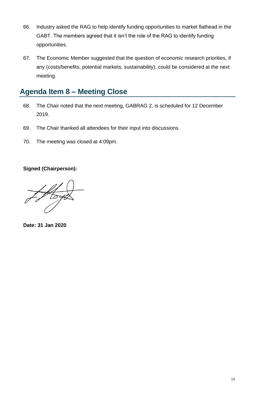- 66. Industry asked the RAG to help identify funding opportunities to market flathead in the GABT. The members agreed that it isn't the role of the RAG to identify funding opportunities.
- 67. The Economic Member suggested that the question of economic research priorities, if any (costs/benefits, potential markets, sustainability), could be considered at the next meeting.

## **Agenda Item 8 – Meeting Close**

- 68. The Chair noted that the next meeting, GABRAG 2, is scheduled for 12 December 2019.
- 69. The Chair thanked all attendees for their input into discussions.
- 70. The meeting was closed at 4:09pm.

**Signed (Chairperson):**

**Date: 31 Jan 2020**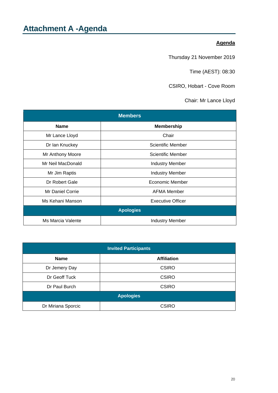### **Agenda**

Thursday 21 November 2019

Time (AEST): 08:30

CSIRO, Hobart - Cove Room

Chair: Mr Lance Lloyd

<span id="page-19-0"></span>

| <b>Members</b>    |                          |  |  |  |  |  |
|-------------------|--------------------------|--|--|--|--|--|
| <b>Name</b>       | <b>Membership</b>        |  |  |  |  |  |
| Mr Lance Lloyd    | Chair                    |  |  |  |  |  |
| Dr Ian Knuckey    | <b>Scientific Member</b> |  |  |  |  |  |
| Mr Anthony Moore  | Scientific Member        |  |  |  |  |  |
| Mr Neil MacDonald | <b>Industry Member</b>   |  |  |  |  |  |
| Mr Jim Raptis     | <b>Industry Member</b>   |  |  |  |  |  |
| Dr Robert Gale    | Economic Member          |  |  |  |  |  |
| Mr Daniel Corrie  | <b>AFMA Member</b>       |  |  |  |  |  |
| Ms Kehani Manson  | <b>Executive Officer</b> |  |  |  |  |  |
|                   | <b>Apologies</b>         |  |  |  |  |  |
| Ms Marcia Valente | <b>Industry Member</b>   |  |  |  |  |  |

| <b>Invited Participants</b> |                    |  |  |  |
|-----------------------------|--------------------|--|--|--|
| <b>Name</b>                 | <b>Affiliation</b> |  |  |  |
| Dr Jemery Day               | <b>CSIRO</b>       |  |  |  |
| Dr Geoff Tuck               | <b>CSIRO</b>       |  |  |  |
| Dr Paul Burch               | <b>CSIRO</b>       |  |  |  |
|                             | <b>Apologies</b>   |  |  |  |
| Dr Miriana Sporcic          | <b>CSIRO</b>       |  |  |  |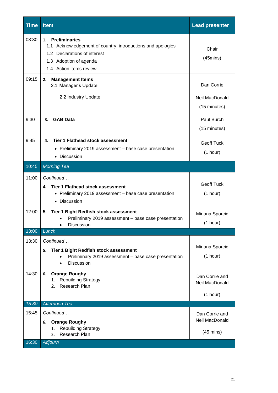| <b>Time</b>    | <b>Item</b>                                                                                                                                                          | <b>Lead presenter</b>                                   |
|----------------|----------------------------------------------------------------------------------------------------------------------------------------------------------------------|---------------------------------------------------------|
| 08:30          | 1. Preliminaries<br>1.1 Acknowledgement of country, introductions and apologies<br>1.2 Declarations of interest<br>1.3 Adoption of agenda<br>1.4 Action items review | Chair<br>$(45 \text{mins})$                             |
| 09:15          | <b>Management Items</b><br>2.<br>2.1 Manager's Update<br>2.2 Industry Update                                                                                         | Dan Corrie<br>Neil MacDonald<br>(15 minutes)            |
| 9:30           | <b>GAB Data</b><br>З.                                                                                                                                                | Paul Burch<br>(15 minutes)                              |
| 9:45           | <b>Tier 1 Flathead stock assessment</b><br>4.<br>• Preliminary 2019 assessment - base case presentation<br>Discussion<br>$\bullet$                                   | <b>Geoff Tuck</b><br>(1 hour)                           |
| 10:45          | <b>Morning Tea</b>                                                                                                                                                   |                                                         |
| 11:00          | Continued<br><b>Tier 1 Flathead stock assessment</b><br>4.<br>• Preliminary 2019 assessment - base case presentation<br>• Discussion                                 | <b>Geoff Tuck</b><br>(1 hour)                           |
| 12:00          | 5.<br>Tier 1 Bight Redfish stock assessment<br>Preliminary 2019 assessment - base case presentation<br><b>Discussion</b>                                             | Miriana Sporcic<br>(1 hour)                             |
| 13:00          | Lunch                                                                                                                                                                |                                                         |
| 13:30          | Continued<br>Tier 1 Bight Redfish stock assessment<br>5.<br>Preliminary 2019 assessment - base case presentation<br>Discussion                                       | Miriana Sporcic<br>(1 hour)                             |
| 14:30          | <b>Orange Roughy</b><br>6.<br><b>Rebuilding Strategy</b><br>1.<br>Research Plan<br>2.                                                                                | Dan Corrie and<br>Neil MacDonald<br>(1 hour)            |
| 15:30          | Afternoon Tea                                                                                                                                                        |                                                         |
| 15:45<br>16:30 | Continued<br><b>Orange Roughy</b><br>6.<br><b>Rebuilding Strategy</b><br>1.<br>Research Plan<br>2.<br><b>Adjourn</b>                                                 | Dan Corrie and<br>Neil MacDonald<br>$(45 \text{ mins})$ |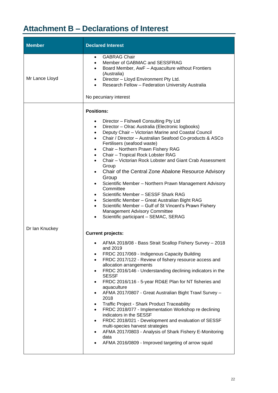# <span id="page-21-0"></span>**Attachment B – Declarations of Interest**

| <b>Member</b>  | <b>Declared Interest</b>                                                                                                                                                                                                                                                                                                                                                                                                                                                                                                                                                                                                                                                                                                                                                                                                                                                                                                                                                                                                                                                                                                                                                                                                                                                                                                                                                                                                                                                                                                                                                                                                                                                                                                                                                        |
|----------------|---------------------------------------------------------------------------------------------------------------------------------------------------------------------------------------------------------------------------------------------------------------------------------------------------------------------------------------------------------------------------------------------------------------------------------------------------------------------------------------------------------------------------------------------------------------------------------------------------------------------------------------------------------------------------------------------------------------------------------------------------------------------------------------------------------------------------------------------------------------------------------------------------------------------------------------------------------------------------------------------------------------------------------------------------------------------------------------------------------------------------------------------------------------------------------------------------------------------------------------------------------------------------------------------------------------------------------------------------------------------------------------------------------------------------------------------------------------------------------------------------------------------------------------------------------------------------------------------------------------------------------------------------------------------------------------------------------------------------------------------------------------------------------|
| Mr Lance Lloyd | <b>GABRAG Chair</b><br>$\bullet$<br>Member of GABMAC and SESSFRAG<br>$\bullet$<br>Board Member, AwF - Aquaculture without Frontiers<br>$\bullet$<br>(Australia)<br>Director - Lloyd Environment Pty Ltd.<br>$\bullet$<br>Research Fellow - Federation University Australia<br>No pecuniary interest                                                                                                                                                                                                                                                                                                                                                                                                                                                                                                                                                                                                                                                                                                                                                                                                                                                                                                                                                                                                                                                                                                                                                                                                                                                                                                                                                                                                                                                                             |
| Dr Ian Knuckey | <b>Positions:</b><br>Director - Fishwell Consulting Pty Ltd<br>Director - Olrac Australia (Electronic logbooks)<br>$\bullet$<br>Deputy Chair - Victorian Marine and Coastal Council<br>$\bullet$<br>Chair / Director - Australian Seafood Co-products & ASCo<br>$\bullet$<br>Fertilisers (seafood waste)<br>Chair - Northern Prawn Fishery RAG<br>$\bullet$<br>Chair - Tropical Rock Lobster RAG<br>$\bullet$<br>Chair - Victorian Rock Lobster and Giant Crab Assessment<br>$\bullet$<br>Group<br>Chair of the Central Zone Abalone Resource Advisory<br>$\bullet$<br>Group<br>Scientific Member - Northern Prawn Management Advisory<br>Committee<br>Scientific Member - SESSF Shark RAG<br>Scientific Member - Great Australian Bight RAG<br>$\bullet$<br>Scientific Member - Gulf of St Vincent's Prawn Fishery<br><b>Management Advisory Committee</b><br>Scientific participant - SEMAC, SERAG<br><b>Current projects:</b><br>AFMA 2018/08 - Bass Strait Scallop Fishery Survey - 2018<br>and 2019<br>FRDC 2017/069 - Indigenous Capacity Building<br>FRDC 2017/122 - Review of fishery resource access and<br>$\bullet$<br>allocation arrangements<br>FRDC 2016/146 - Understanding declining indicators in the<br>٠<br><b>SESSF</b><br>FRDC 2016/116 - 5-year RD&E Plan for NT fisheries and<br>٠<br>aquaculture<br>AFMA 2017/0807 - Great Australian Bight Trawl Survey -<br>٠<br>2018<br><b>Traffic Project - Shark Product Traceability</b><br>٠<br>FRDC 2018/077 - Implementation Workshop re declining<br>$\bullet$<br>indicators in the SESSF<br>FRDC 2018/021 - Development and evaluation of SESSF<br>multi-species harvest strategies<br>AFMA 2017/0803 - Analysis of Shark Fishery E-Monitoring<br>data<br>AFMA 2016/0809 - Improved targeting of arrow squid |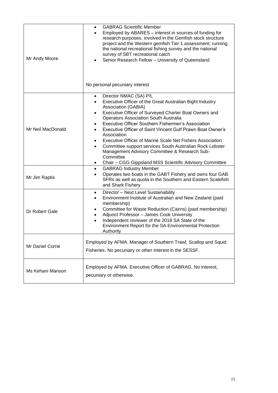| Mr Andy Moore     | <b>GABRAG Scientific Member</b><br>$\bullet$<br>Employed by ABARES - interest in sources of funding for<br>$\bullet$<br>research purposes, involved in the Gemfish stock structure<br>project and the Western gemfish Tier 1 assessment; running<br>the national recreational fishing survey and the national<br>survey of SBT recreational catch<br>Senior Research Fellow - University of Queensland<br>No personal pecuniary interest                                                                                                                                                                                                                                |
|-------------------|-------------------------------------------------------------------------------------------------------------------------------------------------------------------------------------------------------------------------------------------------------------------------------------------------------------------------------------------------------------------------------------------------------------------------------------------------------------------------------------------------------------------------------------------------------------------------------------------------------------------------------------------------------------------------|
| Mr Neil MacDonald | Director NMAC (SA) P/L<br>$\bullet$<br>Executive Officer of the Great Australian Bight Industry<br>٠<br>Association (GABIA)<br>Executive Officer of Surveyed Charter Boat Owners and<br>$\bullet$<br><b>Operators Association South Australia</b><br>Executive Officer Southern Fishermen's Association<br>$\bullet$<br>Executive Officer of Saint Vincent Gulf Prawn Boat Owner's<br>Association<br><b>Executive Officer of Marine Scale Net Fishers Association</b><br>$\bullet$<br>Committee support services South Australian Rock Lobster<br>Management Advisory Committee & Research Sub-<br>Committee<br>Chair - CGG Gippsland MSS Scientific Advisory Committee |
| Mr Jim Raptis     | <b>GABRAG Industry Member</b><br>$\bullet$<br>Operates two boats in the GABT Fishery and owns four GAB<br>SFRs as well as quota in the Southern and Eastern Scalefish<br>and Shark Fishery                                                                                                                                                                                                                                                                                                                                                                                                                                                                              |
| Dr Robert Gale    | Director - Next Level Sustainability<br>$\bullet$<br>Environment Institute of Australian and New Zealand (paid<br>$\bullet$<br>membership)<br>Committee for Waste Reduction (Cairns) (paid membership)<br>$\bullet$<br>Adjunct Professor - James Cook University<br>$\bullet$<br>Independent reviewer of the 2018 SA State of the<br>$\bullet$<br>Environment Report for the SA Environmental Protection<br>Authority                                                                                                                                                                                                                                                   |
| Mr Daniel Corrie  | Employed by AFMA. Manager of Southern Trawl, Scallop and Squid<br>Fisheries. No pecuniary or other interest in the SESSF.                                                                                                                                                                                                                                                                                                                                                                                                                                                                                                                                               |
| Ms Kehani Manson  | Employed by AFMA. Executive Officer of GABRAG. No interest,<br>pecuniary or otherwise.                                                                                                                                                                                                                                                                                                                                                                                                                                                                                                                                                                                  |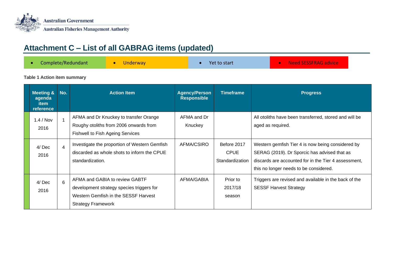

# **Attachment C – List of all GABRAG items (updated)**

|  | Complete/Redundant | <b>Underway</b> | Yet to start | <b>• Need SESSFRAG advice</b> |  |
|--|--------------------|-----------------|--------------|-------------------------------|--|
|--|--------------------|-----------------|--------------|-------------------------------|--|

#### **Table 1 Action item summary**

<span id="page-23-0"></span>

| <b>Meeting &amp;</b><br>agenda<br><b>item</b><br><b>reference</b> | No.            | <b>Action Item</b>                                                                                                                               | <b>Agency/Person</b><br><b>Responsible</b> | <b>Timeframe</b>                              | <b>Progress</b>                                                                                                                                                                                     |
|-------------------------------------------------------------------|----------------|--------------------------------------------------------------------------------------------------------------------------------------------------|--------------------------------------------|-----------------------------------------------|-----------------------------------------------------------------------------------------------------------------------------------------------------------------------------------------------------|
| $1.4/$ Nov<br>2016                                                |                | AFMA and Dr Knuckey to transfer Orange<br>Roughy otoliths from 2006 onwards from<br><b>Fishwell to Fish Ageing Services</b>                      | AFMA and Dr<br>Knuckey                     |                                               | All otoliths have been transferred, stored and will be<br>aged as required.                                                                                                                         |
| 4/ Dec<br>2016                                                    | $\overline{4}$ | Investigate the proportion of Western Gemfish<br>discarded as whole shots to inform the CPUE<br>standardization.                                 | AFMA/CSIRO                                 | Before 2017<br><b>CPUE</b><br>Standardization | Western gemfish Tier 4 is now being considered by<br>SERAG (2019). Dr Sporcic has advised that as<br>discards are accounted for in the Tier 4 assessment,<br>this no longer needs to be considered. |
| 4/ Dec<br>2016                                                    | 6              | AFMA and GABIA to review GABTF<br>development strategy species triggers for<br>Western Gemfish in the SESSF Harvest<br><b>Strategy Framework</b> | AFMA/GABIA                                 | Prior to<br>2017/18<br>season                 | Triggers are revised and available in the back of the<br><b>SESSF Harvest Strategy</b>                                                                                                              |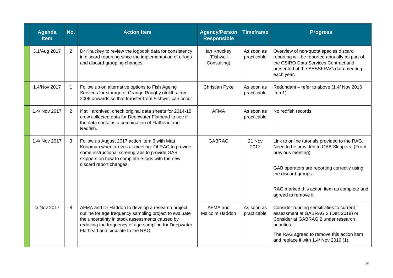| Agenda<br><b>Item</b> | No.            | <b>Action Item</b>                                                                                                                                                                                                                                         | <b>Agency/Person</b><br><b>Responsible</b> | <b>Timeframe</b>          | <b>Progress</b>                                                                                                                                                                                                                                               |
|-----------------------|----------------|------------------------------------------------------------------------------------------------------------------------------------------------------------------------------------------------------------------------------------------------------------|--------------------------------------------|---------------------------|---------------------------------------------------------------------------------------------------------------------------------------------------------------------------------------------------------------------------------------------------------------|
| 3.1/Aug 2017          | $\overline{2}$ | Dr Knuckey to review the logbook data for consistency<br>in discard reporting since the implementation of e-logs<br>and discard grouping changes.                                                                                                          | lan Knuckey<br>(Fishwell<br>Consulting)    | As soon as<br>practicable | Overview of non-quota species discard<br>reporting will be reported annually as part of<br>the CSIRO Data Services Contract and<br>presented at the SESSFRAG data meeting<br>each year.                                                                       |
| 1.4/Nov 2017          | $\mathbf{1}$   | Follow up on alternative options to Fish Ageing<br>Services for storage of Orange Roughy otoliths from<br>2006 onwards so that transfer from Fishwell can occur                                                                                            | Christian Pyke                             | As soon as<br>practicable | Redundant - refer to above (1.4/ Nov 2016<br>Item1)                                                                                                                                                                                                           |
| 1.4/ Nov 2017         | $\overline{2}$ | If still archived, check original data sheets for 2014-15<br>crew collected data for Deepwater Flathead to see if<br>the data contains a combination of Flathead and<br>Redfish.                                                                           | <b>AFMA</b>                                | As soon as<br>practicable | No redfish records.                                                                                                                                                                                                                                           |
| 1.4/ Nov 2017         | 3              | Follow up August 2017 action item 6 with Matt<br>Koopman when arrives at meeting: OLRAC to provide<br>some instructional screengrabs to provide GAB<br>skippers on how to complete e-logs with the new<br>discard report changes.                          | <b>GABRAG</b>                              | 21 Nov<br>2017            | Link to online tutorials provided to the RAG.<br>Need to be provided to GAB Skippers. (From<br>previous meeting)<br>GAB operators are reporting correctly using<br>the discard groups.<br>RAG marked this action item as complete and<br>agreed to remove it. |
| 4/ Nov 2017           | 8              | AFMA and Dr Haddon to develop a research project<br>outline for age frequency sampling project to evaluate<br>the uncertainty in stock assessments caused by<br>reducing the frequency of age sampling for Deepwater<br>Flathead and circulate to the RAG. | AFMA and<br>Malcolm Haddon                 | As soon as<br>practicable | Consider running sensitivities to current<br>assessment at GABRAG 2 (Dec 2019) or<br>Consider at GABRAG 2 under research<br>priorities.<br>The RAG agreed to remove this action item<br>and replace it with 1.4/ Nov 2019 (1).                                |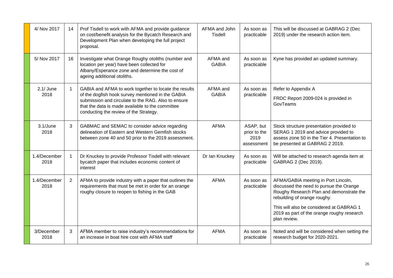| 4/ Nov 2017          | 14             | Prof Tisdell to work with AFMA and provide guidance<br>on cost/benefit analysis for the Bycatch Research and<br>Development Plan when developing the full project<br>proposal.                                                                                  | AFMA and John<br><b>Tisdell</b> | As soon as<br>practicable                       | This will be discussed at GABRAG 2 (Dec<br>2019) under the research action item.                                                                                                                                                                                     |
|----------------------|----------------|-----------------------------------------------------------------------------------------------------------------------------------------------------------------------------------------------------------------------------------------------------------------|---------------------------------|-------------------------------------------------|----------------------------------------------------------------------------------------------------------------------------------------------------------------------------------------------------------------------------------------------------------------------|
| 5/ Nov 2017          | 16             | Investigate what Orange Roughy otoliths (number and<br>location per year) have been collected for<br>Albany/Esperance zone and determine the cost of<br>ageing additional otoliths.                                                                             | AFMA and<br><b>GABIA</b>        | As soon as<br>practicable                       | Kyne has provided an updated summary.                                                                                                                                                                                                                                |
| $2.1/$ June<br>2018  | $\mathbf{1}$   | GABIA and AFMA to work together to locate the results<br>of the dogfish hook survey mentioned in the GABIA<br>submission and circulate to the RAG. Also to ensure<br>that the data is made available to the committee<br>conducting the review of the Strategy. | AFMA and<br><b>GABIA</b>        | As soon as<br>practicable                       | Refer to Appendix A<br>FRDC Report 2009-024 is provided in<br>GovTeams                                                                                                                                                                                               |
| 3.1/June<br>2018     | 3              | GABMAC and SEMAC to consider advice regarding<br>delineation of Eastern and Western Gemfish stocks<br>between zone 40 and 50 prior to the 2019 assessment.                                                                                                      | <b>AFMA</b>                     | ASAP, but<br>prior to the<br>2019<br>assessment | Stock structure presentation provided to<br>SERAG 1 2019 and advice provided to<br>assess zone 50 in the Tier 4. Presentation to<br>be presented at GABRAG 2 2019.                                                                                                   |
| 1.4/December<br>2018 |                | Dr Knuckey to provide Professor Tisdell with relevant<br>bycatch paper that includes economic content of<br>interest                                                                                                                                            | Dr Ian Knuckey                  | As soon as<br>practicable                       | Will be attached to research agenda item at<br>GABRAG 2 (Dec 2019).                                                                                                                                                                                                  |
| 1.4/December<br>2018 | $\overline{2}$ | AFMA to provide industry with a paper that outlines the<br>requirements that must be met in order for an orange<br>roughy closure to reopen to fishing in the GAB                                                                                               | <b>AFMA</b>                     | As soon as<br>practicable                       | AFMA/GABIA meeting in Port Lincoln,<br>discussed the need to pursue the Orange<br>Roughy Research Plan and demonstrate the<br>rebuilding of orange roughy.<br>This will also be considered at GABRAG 1<br>2019 as part of the orange roughy research<br>plan review. |
| 3/December<br>2018   | 3              | AFMA member to raise industry's recommendations for<br>an increase in boat hire cost with AFMA staff                                                                                                                                                            | <b>AFMA</b>                     | As soon as<br>practicable                       | Noted and will be considered when setting the<br>research budget for 2020-2021.                                                                                                                                                                                      |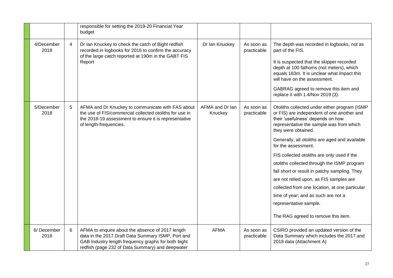|                    |                | responsible for setting the 2019-20 Financial Year<br>budget                                                                                                                                                      |                            |                           |                                                                                                                                                                                                                                                                                                                                                                                                                                                                                                                                                                                                                                  |
|--------------------|----------------|-------------------------------------------------------------------------------------------------------------------------------------------------------------------------------------------------------------------|----------------------------|---------------------------|----------------------------------------------------------------------------------------------------------------------------------------------------------------------------------------------------------------------------------------------------------------------------------------------------------------------------------------------------------------------------------------------------------------------------------------------------------------------------------------------------------------------------------------------------------------------------------------------------------------------------------|
| 4/December<br>2018 | $\overline{4}$ | Dr Ian Knuckey to check the catch of Bight redfish<br>recorded in logbooks for 2016 to confirm the accuracy<br>of the large catch reported at 190m in the GABT FIS<br>Report                                      | Dr Ian Knuckey             | As soon as<br>practicable | The depth was recorded in logbooks, not as<br>part of the FIS.<br>It is suspected that the skipper recorded<br>depth at 100 fathoms (not meters), which<br>equals 183m. It is unclear what impact this<br>will have on the assessment.<br>GABRAG agreed to remove this item and<br>replace it with 1.4/Nov 2019 (3).                                                                                                                                                                                                                                                                                                             |
| 5/December<br>2018 | 5              | AFMA and Dr Knuckey to communicate with FAS about<br>the use of FIS/commercial collected otoliths for use in<br>the 2018-19 assessment to ensure it is representative<br>of length-frequencies.                   | AFMA and Dr Ian<br>Knuckey | As soon as<br>practicable | Otoliths collected under either program (ISMP<br>or FIS) are independent of one another and<br>their 'usefulness' depends on how<br>representative the sample was from which<br>they were obtained.<br>Generally, all otoliths are aged and available<br>for the assessment.<br>FIS collected otoliths are only used if the<br>otoliths collected through the ISMP program<br>fall short or result in patchy sampling. They<br>are not relied upon, as FIS samples are<br>collected from one location, at one particular<br>time of year; and as such are not a<br>representative sample.<br>The RAG agreed to remove this item. |
| 6/December<br>2018 | 6              | AFMA to enquire about the absence of 2017 length<br>data in the 2017 Draft Data Summary ISMP, Port and<br>GAB Industry length frequency graphs for both bight<br>redfish (page 232 of Data Summary) and deepwater | <b>AFMA</b>                | As soon as<br>practicable | CSIRO provided an updated version of the<br>Data Summary which includes the 2017 and<br>2018 data (Attachment A)                                                                                                                                                                                                                                                                                                                                                                                                                                                                                                                 |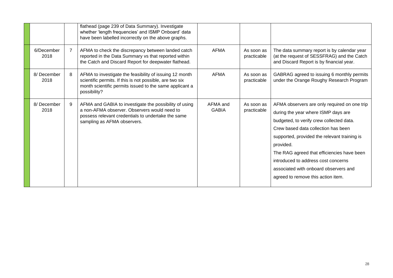|                    |                | flathead (page 239 of Data Summary). Investigate<br>whether 'length frequencies' and ISMP Onboard' data<br>have been labelled incorrectly on the above graphs.                                 |                          |                           |                                                                                                                                                                                                                                                                                                                                                                                                         |
|--------------------|----------------|------------------------------------------------------------------------------------------------------------------------------------------------------------------------------------------------|--------------------------|---------------------------|---------------------------------------------------------------------------------------------------------------------------------------------------------------------------------------------------------------------------------------------------------------------------------------------------------------------------------------------------------------------------------------------------------|
| 6/December<br>2018 | $\overline{7}$ | AFMA to check the discrepancy between landed catch<br>reported in the Data Summary vs that reported within<br>the Catch and Discard Report for deepwater flathead.                             | <b>AFMA</b>              | As soon as<br>practicable | The data summary report is by calendar year<br>(at the request of SESSFRAG) and the Catch<br>and Discard Report is by financial year.                                                                                                                                                                                                                                                                   |
| 8/December<br>2018 | 8              | AFMA to investigate the feasibility of issuing 12 month<br>scientific permits. If this is not possible, are two six<br>month scientific permits issued to the same applicant a<br>possibility? | <b>AFMA</b>              | As soon as<br>practicable | GABRAG agreed to issuing 6 monthly permits<br>under the Orange Roughy Research Program                                                                                                                                                                                                                                                                                                                  |
| 8/December<br>2018 | 9              | AFMA and GABIA to investigate the possibility of using<br>a non-AFMA observer. Observers would need to<br>possess relevant credentials to undertake the same<br>sampling as AFMA observers.    | AFMA and<br><b>GABIA</b> | As soon as<br>practicable | AFMA observers are only required on one trip<br>during the year where ISMP days are<br>budgeted, to verify crew collected data.<br>Crew based data collection has been<br>supported, provided the relevant training is<br>provided.<br>The RAG agreed that efficiencies have been<br>introduced to address cost concerns<br>associated with onboard observers and<br>agreed to remove this action item. |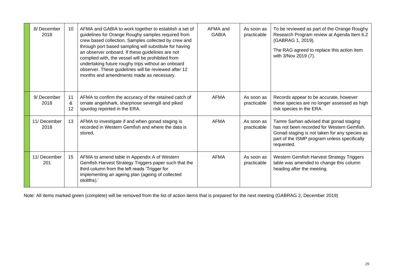| 8/December<br>2018   | 10            | AFMA and GABIA to work together to establish a set of<br>guidelines for Orange Roughy samples required from<br>crew based collection. Samples collected by crew and<br>through port based sampling will substitute for having<br>an observer onboard. If these guidelines are not<br>complied with, the vessel will be prohibited from<br>undertaking future roughy trips without an onboard<br>observer. These guidelines will be reviewed after 12<br>months and amendments made as necessary. | AFMA and<br><b>GABIA</b> | As soon as<br>practicable | To be reviewed as part of the Orange Roughy<br>Research Program review at Agenda Item 6.2<br>(GABRAG 1, 2019).<br>The RAG agreed to replace this action item<br>with 3/Nov 2019 (7).                 |
|----------------------|---------------|--------------------------------------------------------------------------------------------------------------------------------------------------------------------------------------------------------------------------------------------------------------------------------------------------------------------------------------------------------------------------------------------------------------------------------------------------------------------------------------------------|--------------------------|---------------------------|------------------------------------------------------------------------------------------------------------------------------------------------------------------------------------------------------|
| 9/December<br>2018   | 11<br>&<br>12 | AFMA to confirm the accuracy of the retained catch of<br>ornate angelshark, sharpnose sevengill and piked<br>spurdog reported in the ERA.                                                                                                                                                                                                                                                                                                                                                        | <b>AFMA</b>              | As soon as<br>practicable | Records appear to be accurate, however<br>these species are no longer assessed as high<br>risk species in the ERA.                                                                                   |
| 11/ December<br>2018 | 13            | AFMA to investigate if and when gonad staging is<br>recorded in Western Gemfish and where the data is<br>stored.                                                                                                                                                                                                                                                                                                                                                                                 | <b>AFMA</b>              | As soon as<br>practicable | Tamre Sarhan advised that gonad staging<br>has not been recorded for Western Gemfish.<br>Gonad staging is not taken for any species as<br>part of the ISMP program unless specifically<br>requested. |
| 11/ December<br>201  | 15            | AFMA to amend table in Appendix A of Western<br>Gemfish Harvest Strategy Triggers paper such that the<br>third column from the left reads 'Trigger for<br>implementing an ageing plan (ageing of collected<br>otoliths).'                                                                                                                                                                                                                                                                        | <b>AFMA</b>              | As soon as<br>practicable | Western Gemfish Harvest Strategy Triggers<br>table was amended to change this column<br>heading after the meeting.                                                                                   |

Note: All items marked green (complete) will be removed from the list of action items that is prepared for the next meeting (GABRAG 2, December 2019)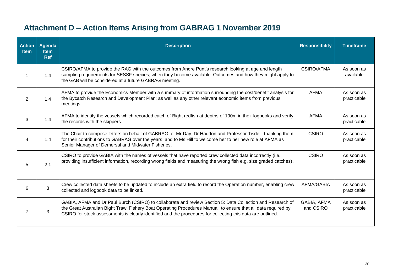# **Attachment D – Action Items Arising from GABRAG 1 November 2019**

<span id="page-29-0"></span>

| <b>Action</b><br><b>Item</b> | <b>Agenda</b><br><b>Item</b><br><b>Ref</b> | <b>Description</b>                                                                                                                                                                                                                                                                                                                          | <b>Responsibility</b>    | <b>Timeframe</b>          |
|------------------------------|--------------------------------------------|---------------------------------------------------------------------------------------------------------------------------------------------------------------------------------------------------------------------------------------------------------------------------------------------------------------------------------------------|--------------------------|---------------------------|
|                              | 1.4                                        | CSIRO/AFMA to provide the RAG with the outcomes from Andre Punt's research looking at age and length<br>sampling requirements for SESSF species; when they become available. Outcomes and how they might apply to<br>the GAB will be considered at a future GABRAG meeting.                                                                 | CSIRO/AFMA               | As soon as<br>available   |
| 2                            | 1.4                                        | AFMA to provide the Economics Member with a summary of information surrounding the cost/benefit analysis for<br>the Bycatch Research and Development Plan; as well as any other relevant economic items from previous<br>meetings.                                                                                                          | <b>AFMA</b>              | As soon as<br>practicable |
| 3                            | 1.4                                        | AFMA to identify the vessels which recorded catch of Bight redfish at depths of 190m in their logbooks and verify<br>the records with the skippers.                                                                                                                                                                                         | <b>AFMA</b>              | As soon as<br>practicable |
| 4                            | 1.4                                        | The Chair to compose letters on behalf of GABRAG to: Mr Day, Dr Haddon and Professor Tisdell, thanking them<br>for their contributions to GABRAG over the years; and to Ms Hill to welcome her to her new role at AFMA as<br>Senior Manager of Demersal and Midwater Fisheries.                                                             | <b>CSIRO</b>             | As soon as<br>practicable |
| 5                            | 2.1                                        | CSIRO to provide GABIA with the names of vessels that have reported crew collected data incorrectly (i.e.<br>providing insufficient information, recording wrong fields and measuring the wrong fish e.g. size graded catches).                                                                                                             | <b>CSIRO</b>             | As soon as<br>practicable |
| 6                            | 3                                          | Crew collected data sheets to be updated to include an extra field to record the Operation number, enabling crew<br>collected and logbook data to be linked.                                                                                                                                                                                | <b>AFMA/GABIA</b>        | As soon as<br>practicable |
| 7                            | 3                                          | GABIA, AFMA and Dr Paul Burch (CSIRO) to collaborate and review Section 5: Data Collection and Research of<br>the Great Australian Bight Trawl Fishery Boat Operating Procedures Manual; to ensure that all data required by<br>CSIRO for stock assessments is clearly identified and the procedures for collecting this data are outlined. | GABIA, AFMA<br>and CSIRO | As soon as<br>practicable |